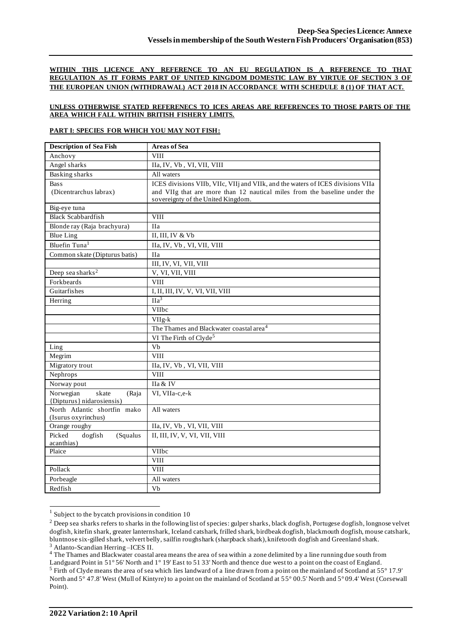### **WITHIN THIS LICENCE ANY REFERENCE TO AN EU REGULATION IS A REFERENCE TO THAT REGULATION AS IT FORMS PART OF UNITED KINGDOM DOMESTIC LAW BY VIRTUE OF SECTION 3 OF THE EUROPEAN UNION (WITHDRAWAL) ACT 2018 IN ACCORDANCE WITH SCHEDULE 8 (1) OF THAT ACT.**

### **UNLESS OTHERWISE STATED REFERENECS TO ICES AREAS ARE REFERENCES TO THOSE PARTS OF THE AREA WHICH FALL WITHIN BRITISH FISHERY LIMITS.**

### **PART I: SPECIES FOR WHICH YOU MAY NOT FISH:**

| <b>Description of Sea Fish</b>                           | <b>Areas of Sea</b>                                                             |
|----------------------------------------------------------|---------------------------------------------------------------------------------|
| Anchovy                                                  | <b>VIII</b>                                                                     |
| Angel sharks                                             | IIa, IV, Vb, VI, VII, VIII                                                      |
| <b>Basking sharks</b>                                    | All waters                                                                      |
| <b>Bass</b>                                              | ICES divisions VIIb, VIIc, VIIj and VIIk, and the waters of ICES divisions VIIa |
| (Dicentrarchus labrax)                                   | and VIIg that are more than 12 nautical miles from the baseline under the       |
|                                                          | sovereignty of the United Kingdom.                                              |
| Big-eye tuna                                             |                                                                                 |
| <b>Black Scabbardfish</b>                                | $\overline{\text{VIII}}$                                                        |
| Blonde ray (Raja brachyura)                              | <b>IIa</b>                                                                      |
| <b>Blue Ling</b>                                         | II, III, IV & Vb                                                                |
| Bluefin Tuna <sup>1</sup>                                | IIa, IV, Vb, VI, VII, VIII                                                      |
| Common skate (Dipturus batis)                            | <b>IIa</b>                                                                      |
|                                                          | III, IV, VI, VII, VIII                                                          |
| Deep sea sharks <sup>2</sup>                             | V, VI, VII, VIII                                                                |
| Forkbeards                                               | <b>VIII</b>                                                                     |
| Guitarfishes                                             | I, II, III, IV, V, VI, VII, VIII                                                |
| Herring                                                  | $\Pi$ a <sup>3</sup>                                                            |
|                                                          | <b>VIIbc</b>                                                                    |
|                                                          | VIIg-k                                                                          |
|                                                          | The Thames and Blackwater coastal area <sup>4</sup>                             |
|                                                          | VI The Firth of Clyde <sup>5</sup>                                              |
| Ling                                                     | V <sub>b</sub>                                                                  |
| Megrim                                                   | <b>VIII</b>                                                                     |
| Migratory trout                                          | IIa, IV, Vb, VI, VII, VIII                                                      |
| Nephrops                                                 | <b>VIII</b>                                                                     |
| Norway pout                                              | IIa & IV                                                                        |
| Norwegian<br>skate<br>(Raja<br>{Dipturus} nidarosiensis) | VI, VIIa-c,e-k                                                                  |
| North Atlantic shortfin mako                             | All waters                                                                      |
| (Isurus oxyrinchus)                                      |                                                                                 |
| Orange roughy                                            | IIa, IV, Vb, VI, VII, VIII                                                      |
| Picked<br>dogfish<br>(Squalus                            | II, III, IV, V, VI, VII, VIII                                                   |
| acanthias)                                               |                                                                                 |
| Plaice                                                   | VIIbc                                                                           |
|                                                          | <b>VIII</b>                                                                     |
| Pollack                                                  | <b>VIII</b>                                                                     |
| Porbeagle                                                | All waters                                                                      |
| Redfish                                                  | Vb                                                                              |

<sup>1</sup> Subject to the bycatch provisions in condition 10

<sup>4</sup> The Thames and Blackwater coastal area means the area of sea within a zone delimited by a line running due south from

<sup>&</sup>lt;sup>2</sup> Deep sea sharks refers to sharks in the following list of species: gulper sharks, black dogfish, Portugese dogfish, longnose velvet dogfish, kitefin shark, greater lanternshark, Iceland catshark, frilled shark, birdbeak dogfish, blackmouth dogfish, mouse catshark, bluntnose six-gilled shark, velvert belly, sailfin roughshark (sharpback shark), knifetooth dogfish and Greenland shark. <sup>3</sup> Atlanto-Scandian Herring-ICES II.

Landguard Point in 51° 56' North and 1° 19' East to 51 33' North and thence due west to a point on the coast of England. <sup>5</sup> Firth of Clyde means the area of sea which lies landward of a line drawn from a point on the mainland of Scotland at 55° 17.9' North and 5° 47.8' West (Mull of Kintyre) to a point on the mainland of Scotland at 55° 00.5' North and 5° 09.4' West (Corsewall Point).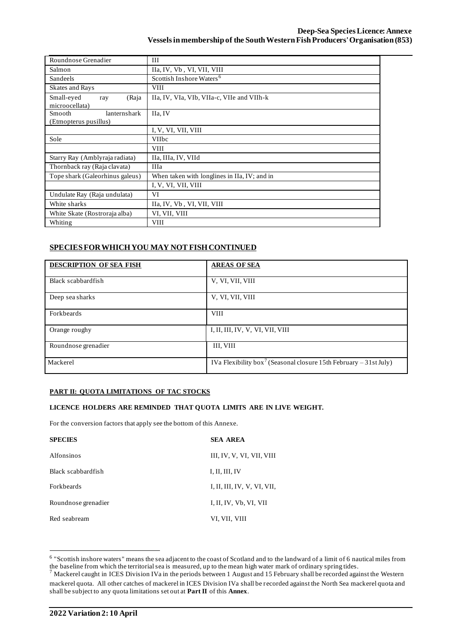| Roundnose Grenadier                             | Ш                                            |  |  |  |  |
|-------------------------------------------------|----------------------------------------------|--|--|--|--|
| Salmon                                          | IIa, IV, Vb, VI, VII, VIII                   |  |  |  |  |
| <b>Sandeels</b>                                 | Scottish Inshore Waters <sup>6</sup>         |  |  |  |  |
| <b>Skates and Rays</b>                          | <b>VIII</b>                                  |  |  |  |  |
| Small-eyed<br>(Raja<br>ray<br>microocellata)    | IIa, IV, VIa, VIb, VIIa-c, VIIe and VIIh-k   |  |  |  |  |
| Smooth<br>lanternshark<br>(Etmopterus pusillus) | IIa, IV                                      |  |  |  |  |
|                                                 | I, V, VI, VII, VIII                          |  |  |  |  |
| Sole                                            | <b>VIIbc</b>                                 |  |  |  |  |
|                                                 | <b>VIII</b>                                  |  |  |  |  |
| Starry Ray (Amblyraja radiata)                  | IIa, IIIa, IV, VIId                          |  |  |  |  |
| Thornback ray (Raja clavata)                    | <b>IIIa</b>                                  |  |  |  |  |
| Tope shark (Galeorhinus galeus)                 | When taken with longlines in IIa, IV; and in |  |  |  |  |
|                                                 | I, V, VI, VII, VIII                          |  |  |  |  |
| Undulate Ray (Raja undulata)                    | VI                                           |  |  |  |  |
| White sharks                                    | IIa, IV, Vb, VI, VII, VIII                   |  |  |  |  |
| White Skate (Rostroraja alba)                   | VI, VII, VIII                                |  |  |  |  |
| Whiting                                         | <b>VIII</b>                                  |  |  |  |  |

# **SPECIES FOR WHICH YOU MAY NOT FISH CONTINUED**

| <b>DESCRIPTION OF SEA FISH</b> | <b>AREAS OF SEA</b>                                                           |
|--------------------------------|-------------------------------------------------------------------------------|
| Black scabbardfish             | V, VI, VII, VIII                                                              |
| Deep sea sharks                | V, VI, VII, VIII                                                              |
| Forkbeards                     | <b>VIII</b>                                                                   |
| Orange roughy                  | I, II, III, IV, V, VI, VII, VIII                                              |
| Roundnose grenadier            | III, VIII                                                                     |
| Mackerel                       | IVa Flexibility box <sup>7</sup> (Seasonal closure 15th February – 31st July) |

## **PART II: QUOTA LIMITATIONS OF TAC STOCKS**

### **LICENCE HOLDERS ARE REMINDED THAT QUOTA LIMITS ARE IN LIVE WEIGHT.**

For the conversion factors that apply see the bottom of this Annexe.

| <b>SPECIES</b>      | <b>SEA AREA</b>             |
|---------------------|-----------------------------|
| <b>Alfonsinos</b>   | III, IV, V, VI, VII, VIII   |
| Black scabbardfish  | I, II, III, IV              |
| <b>Forkbeards</b>   | I, II, III, IV, V, VI, VII, |
| Roundnose grenadier | I, II, IV, Vb, VI, VII      |
| Red seabream        | VI, VII, VIII               |

<sup>&</sup>lt;sup>6</sup> "Scottish inshore waters" means the sea adjacent to the coast of Scotland and to the landward of a limit of 6 nautical miles from the baseline from which the territorial sea is measured, up to the mean high water mark of ordinary spring tides.

<sup>7</sup> Mackerel caught in ICES Division IVa in the periods between 1 August and 15 February shall be recorded against the Western mackerel quota. All other catches of mackerel in ICES Division IVa shall be recorded against the North Sea mackerel quota and shall be subject to any quota limitations set out at **Part II** of this **Annex**.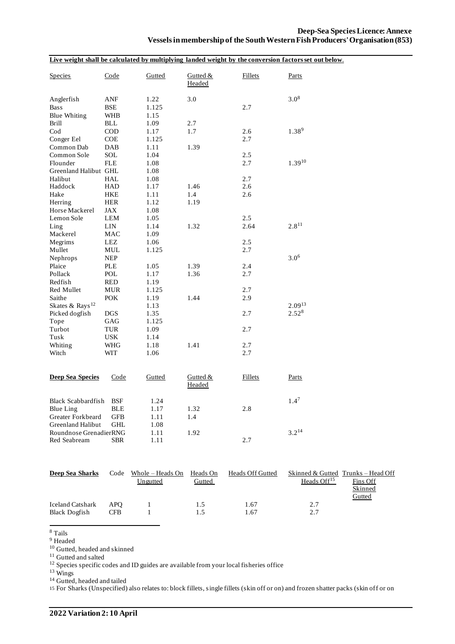|                             |             |        |                      |                | Live weight shall be calculated by multiplying landed weight by the conversion factors set out below. |  |
|-----------------------------|-------------|--------|----------------------|----------------|-------------------------------------------------------------------------------------------------------|--|
| <b>Species</b>              | Code        | Gutted | Gutted $&$<br>Headed | <b>Fillets</b> | Parts                                                                                                 |  |
| Anglerfish                  | ANF         | 1.22   | 3.0                  |                | $3.0^{8}$                                                                                             |  |
| <b>Bass</b>                 | BSE         | 1.125  |                      | 2.7            |                                                                                                       |  |
| <b>Blue Whiting</b>         | WHB         | 1.15   |                      |                |                                                                                                       |  |
| <b>Brill</b>                | <b>BLL</b>  | 1.09   | 2.7                  |                |                                                                                                       |  |
| $\rm Cod$                   | <b>COD</b>  | 1.17   | 1.7                  | 2.6            | $1.38^{9}$                                                                                            |  |
| Conger Eel                  | COE         | 1.125  |                      | 2.7            |                                                                                                       |  |
| Common Dab                  | DAB         | 1.11   | 1.39                 |                |                                                                                                       |  |
| Common Sole                 | SOL         | 1.04   |                      | 2.5            |                                                                                                       |  |
| Flounder                    | <b>FLE</b>  | 1.08   |                      | 2.7            | $1.39^{10}$                                                                                           |  |
| Greenland Halibut GHL       |             | 1.08   |                      |                |                                                                                                       |  |
| Halibut                     | HAL         | 1.08   |                      | 2.7            |                                                                                                       |  |
| Haddock                     | <b>HAD</b>  | 1.17   | 1.46                 | 2.6            |                                                                                                       |  |
| Hake                        | <b>HKE</b>  | 1.11   | 1.4                  | 2.6            |                                                                                                       |  |
| Herring                     | <b>HER</b>  | 1.12   | 1.19                 |                |                                                                                                       |  |
| Horse Mackerel              | JAX         | 1.08   |                      |                |                                                                                                       |  |
| Lemon Sole                  | LEM         | 1.05   |                      | 2.5            |                                                                                                       |  |
| Ling                        | LIN         | 1.14   | 1.32                 | 2.64           | $2.8^{11}$                                                                                            |  |
| Mackerel                    | <b>MAC</b>  | 1.09   |                      |                |                                                                                                       |  |
| Megrims                     | ${\rm LEZ}$ | 1.06   |                      | 2.5            |                                                                                                       |  |
| Mullet                      | MUL         | 1.125  |                      | 2.7            |                                                                                                       |  |
| Nephrops                    | <b>NEP</b>  |        |                      |                | $3.0^{6}$                                                                                             |  |
| Plaice                      | <b>PLE</b>  | 1.05   | 1.39                 | 2.4            |                                                                                                       |  |
| Pollack                     | POL         | 1.17   | 1.36                 | 2.7            |                                                                                                       |  |
| Redfish                     | <b>RED</b>  | 1.19   |                      |                |                                                                                                       |  |
| Red Mullet                  | <b>MUR</b>  | 1.125  |                      | 2.7            |                                                                                                       |  |
| Saithe                      | <b>POK</b>  | 1.19   | 1.44                 | 2.9            |                                                                                                       |  |
| Skates & Rays <sup>12</sup> |             | 1.13   |                      |                | $2.09^{13}$                                                                                           |  |
| Picked dogfish              | <b>DGS</b>  | 1.35   |                      | 2.7            | $2.52^{8}$                                                                                            |  |
| Tope                        | GAG         | 1.125  |                      |                |                                                                                                       |  |
| Turbot                      | <b>TUR</b>  | 1.09   |                      | 2.7            |                                                                                                       |  |
| Tusk                        | USK         | 1.14   |                      |                |                                                                                                       |  |
| Whiting                     | WHG         | 1.18   | 1.41                 | 2.7            |                                                                                                       |  |
| Witch                       | WIT         | 1.06   |                      | 2.7            |                                                                                                       |  |
|                             |             |        |                      |                |                                                                                                       |  |
| <b>Deep Sea Species</b>     | Code        | Gutted | Gutted &<br>Headed   | <b>Fillets</b> | Parts                                                                                                 |  |
| <b>Black Scabbardfish</b>   | <b>BSF</b>  | 1.24   |                      |                | $1.4^7$                                                                                               |  |
| Blue Ling                   | <b>BLE</b>  | 1.17   | 1.32                 | 2.8            |                                                                                                       |  |
| Greater Forkbeard           | GFB         | 1.11   | 1.4                  |                |                                                                                                       |  |
| Greenland Halibut           | GHL         | 1.08   |                      |                |                                                                                                       |  |
| Roundnose GrenadierRNG      |             | 1.11   | 1.92                 |                | $3.2^{14}$                                                                                            |  |
| Red Seabream                | <b>SBR</b>  | 1.11   |                      | 2.7            |                                                                                                       |  |

| Deep Sea Sharks                                 | Code       | Whole – Heads On<br>Ungutted | Heads On<br>Gutted | <b>Heads Off Gutted</b> | Heads $Off15$   | Skinned & Gutted Trunks – Head Off<br>Fins Off<br>Skinned |
|-------------------------------------------------|------------|------------------------------|--------------------|-------------------------|-----------------|-----------------------------------------------------------|
| <b>Iceland Catshark</b><br><b>Black Dogfish</b> | APO<br>CFB |                              | 1.5<br>1.5         | 67. ا<br>.67            | 2.7<br>27<br>Ź. | Gutted                                                    |

 $^8$  Tails  $\,$ 

<sup>9</sup> Headed

<sup>10</sup> Gutted, headed and skinned

<sup>11</sup> Gutted and salted

<sup>11</sup> Gutted and salted<br> $12$  Species specific codes and ID guides are available from your local fisheries office

 $13$  Wings

<sup>14</sup> Gutted, headed and tailed

15 For Sharks (Unspecified) also relates to: block fillets, single fillets (skin off or on) and frozen shatter packs (skin off or on